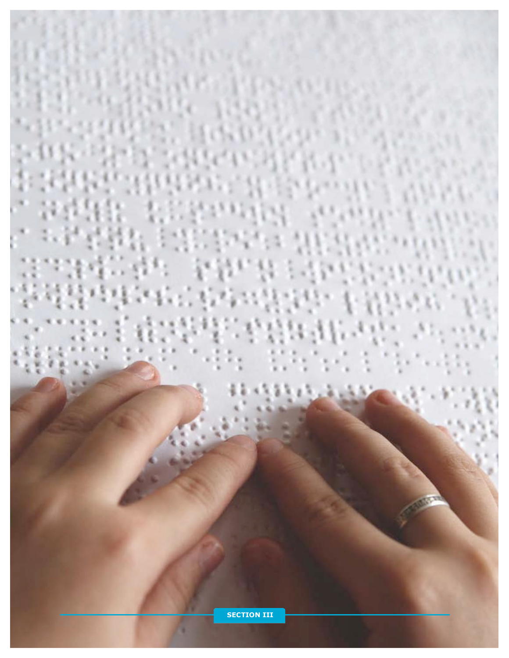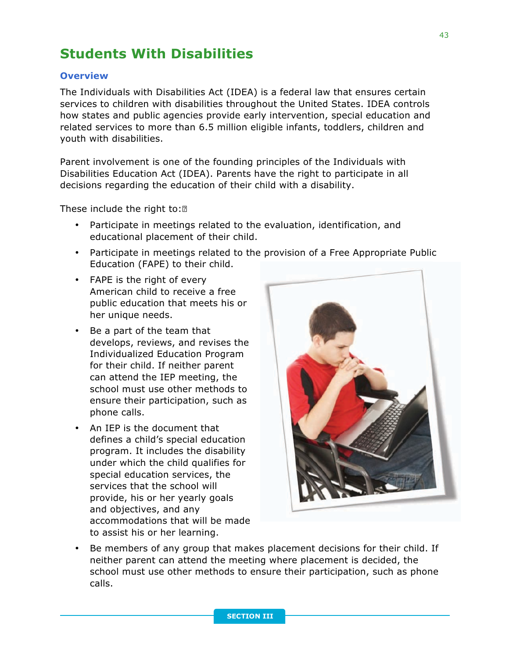## **Students With Disabilities**

## **Overview**

The Individuals with Disabilities Act (IDEA) is a federal law that ensures certain services to children with disabilities throughout the United States. IDEA controls how states and public agencies provide early intervention, special education and related services to more than 6.5 million eligible infants, toddlers, children and youth with disabilities.

Parent involvement is one of the founding principles of the Individuals with Disabilities Education Act (IDEA). Parents have the right to participate in all decisions regarding the education of their child with a disability.

These include the right to:<sup>[2]</sup>

- Participate in meetings related to the evaluation, identification, and educational placement of their child.
- Participate in meetings related to the provision of a Free Appropriate Public Education (FAPE) to their child.
- FAPE is the right of every American child to receive a free public education that meets his or her unique needs.
- Be a part of the team that develops, reviews, and revises the Individualized Education Program for their child. If neither parent can attend the IEP meeting, the school must use other methods to ensure their participation, such as phone calls.
- An IEP is the document that defines a child's special education program. It includes the disability under which the child qualifies for special education services, the services that the school will provide, his or her yearly goals and objectives, and any accommodations that will be made to assist his or her learning.



• Be members of any group that makes placement decisions for their child. If neither parent can attend the meeting where placement is decided, the school must use other methods to ensure their participation, such as phone calls.